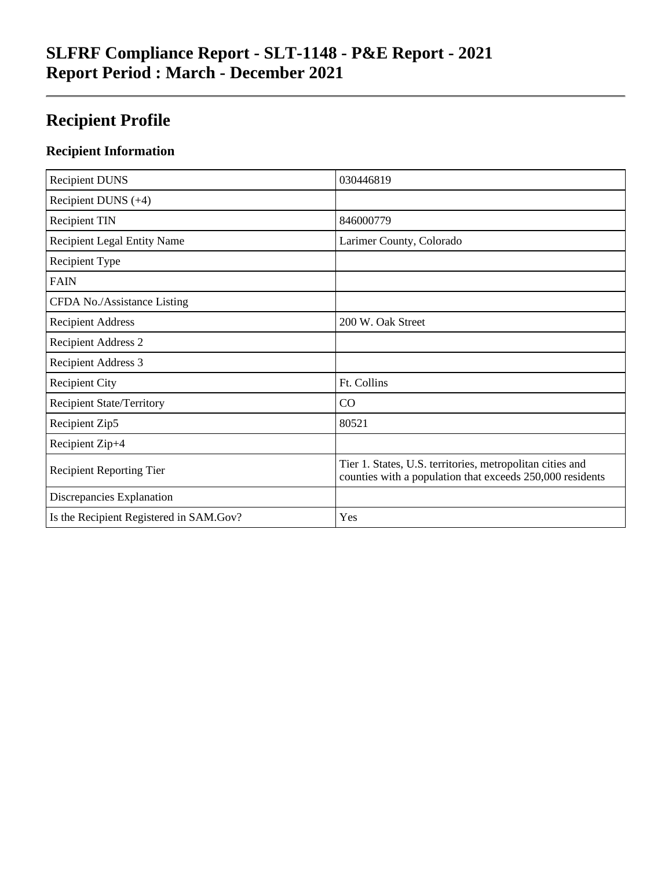# **SLFRF Compliance Report - SLT-1148 - P&E Report - 2021 Report Period : March - December 2021**

# **Recipient Profile**

### **Recipient Information**

| <b>Recipient DUNS</b>                   | 030446819                                                                                                              |
|-----------------------------------------|------------------------------------------------------------------------------------------------------------------------|
| Recipient DUNS $(+4)$                   |                                                                                                                        |
| <b>Recipient TIN</b>                    | 846000779                                                                                                              |
| <b>Recipient Legal Entity Name</b>      | Larimer County, Colorado                                                                                               |
| Recipient Type                          |                                                                                                                        |
| <b>FAIN</b>                             |                                                                                                                        |
| CFDA No./Assistance Listing             |                                                                                                                        |
| <b>Recipient Address</b>                | 200 W. Oak Street                                                                                                      |
| <b>Recipient Address 2</b>              |                                                                                                                        |
| <b>Recipient Address 3</b>              |                                                                                                                        |
| <b>Recipient City</b>                   | Ft. Collins                                                                                                            |
| <b>Recipient State/Territory</b>        | CO                                                                                                                     |
| Recipient Zip5                          | 80521                                                                                                                  |
| Recipient Zip+4                         |                                                                                                                        |
| <b>Recipient Reporting Tier</b>         | Tier 1. States, U.S. territories, metropolitan cities and<br>counties with a population that exceeds 250,000 residents |
| Discrepancies Explanation               |                                                                                                                        |
| Is the Recipient Registered in SAM.Gov? | Yes                                                                                                                    |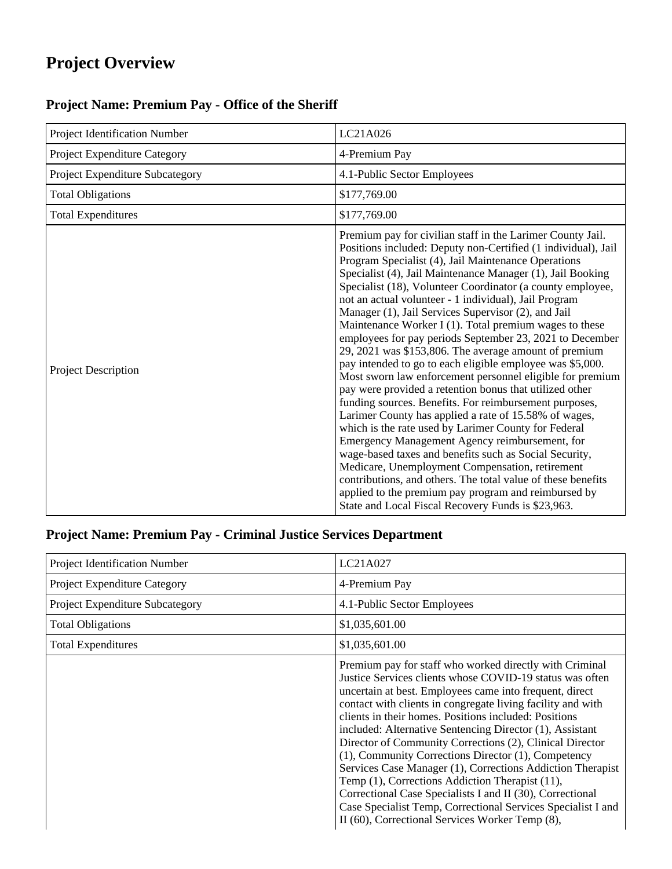# **Project Overview**

# **Project Name: Premium Pay - Office of the Sheriff**

| Project Identification Number   | LC21A026                                                                                                                                                                                                                                                                                                                                                                                                                                                                                                                                                                                                                                                                                                                                                                                                                                                                                                                                                                                                                                                                                                                                                                                                                                                                                                                   |
|---------------------------------|----------------------------------------------------------------------------------------------------------------------------------------------------------------------------------------------------------------------------------------------------------------------------------------------------------------------------------------------------------------------------------------------------------------------------------------------------------------------------------------------------------------------------------------------------------------------------------------------------------------------------------------------------------------------------------------------------------------------------------------------------------------------------------------------------------------------------------------------------------------------------------------------------------------------------------------------------------------------------------------------------------------------------------------------------------------------------------------------------------------------------------------------------------------------------------------------------------------------------------------------------------------------------------------------------------------------------|
| Project Expenditure Category    | 4-Premium Pay                                                                                                                                                                                                                                                                                                                                                                                                                                                                                                                                                                                                                                                                                                                                                                                                                                                                                                                                                                                                                                                                                                                                                                                                                                                                                                              |
| Project Expenditure Subcategory | 4.1-Public Sector Employees                                                                                                                                                                                                                                                                                                                                                                                                                                                                                                                                                                                                                                                                                                                                                                                                                                                                                                                                                                                                                                                                                                                                                                                                                                                                                                |
| <b>Total Obligations</b>        | \$177,769.00                                                                                                                                                                                                                                                                                                                                                                                                                                                                                                                                                                                                                                                                                                                                                                                                                                                                                                                                                                                                                                                                                                                                                                                                                                                                                                               |
| <b>Total Expenditures</b>       | \$177,769.00                                                                                                                                                                                                                                                                                                                                                                                                                                                                                                                                                                                                                                                                                                                                                                                                                                                                                                                                                                                                                                                                                                                                                                                                                                                                                                               |
| Project Description             | Premium pay for civilian staff in the Larimer County Jail.<br>Positions included: Deputy non-Certified (1 individual), Jail<br>Program Specialist (4), Jail Maintenance Operations<br>Specialist (4), Jail Maintenance Manager (1), Jail Booking<br>Specialist (18), Volunteer Coordinator (a county employee,<br>not an actual volunteer - 1 individual), Jail Program<br>Manager (1), Jail Services Supervisor (2), and Jail<br>Maintenance Worker I (1). Total premium wages to these<br>employees for pay periods September 23, 2021 to December<br>29, 2021 was \$153,806. The average amount of premium<br>pay intended to go to each eligible employee was \$5,000.<br>Most sworn law enforcement personnel eligible for premium<br>pay were provided a retention bonus that utilized other<br>funding sources. Benefits. For reimbursement purposes,<br>Larimer County has applied a rate of 15.58% of wages,<br>which is the rate used by Larimer County for Federal<br>Emergency Management Agency reimbursement, for<br>wage-based taxes and benefits such as Social Security,<br>Medicare, Unemployment Compensation, retirement<br>contributions, and others. The total value of these benefits<br>applied to the premium pay program and reimbursed by<br>State and Local Fiscal Recovery Funds is \$23,963. |

# **Project Name: Premium Pay - Criminal Justice Services Department**

| Project Identification Number   | LC21A027                                                                                                                                                                                                                                                                                                                                                                                                                                                                                                                                                                                                                                                                                                                                                                               |
|---------------------------------|----------------------------------------------------------------------------------------------------------------------------------------------------------------------------------------------------------------------------------------------------------------------------------------------------------------------------------------------------------------------------------------------------------------------------------------------------------------------------------------------------------------------------------------------------------------------------------------------------------------------------------------------------------------------------------------------------------------------------------------------------------------------------------------|
| Project Expenditure Category    | 4-Premium Pay                                                                                                                                                                                                                                                                                                                                                                                                                                                                                                                                                                                                                                                                                                                                                                          |
| Project Expenditure Subcategory | 4.1-Public Sector Employees                                                                                                                                                                                                                                                                                                                                                                                                                                                                                                                                                                                                                                                                                                                                                            |
| <b>Total Obligations</b>        | \$1,035,601.00                                                                                                                                                                                                                                                                                                                                                                                                                                                                                                                                                                                                                                                                                                                                                                         |
| <b>Total Expenditures</b>       | \$1,035,601.00                                                                                                                                                                                                                                                                                                                                                                                                                                                                                                                                                                                                                                                                                                                                                                         |
|                                 | Premium pay for staff who worked directly with Criminal<br>Justice Services clients whose COVID-19 status was often<br>uncertain at best. Employees came into frequent, direct<br>contact with clients in congregate living facility and with<br>clients in their homes. Positions included: Positions<br>included: Alternative Sentencing Director (1), Assistant<br>Director of Community Corrections (2), Clinical Director<br>(1), Community Corrections Director (1), Competency<br>Services Case Manager (1), Corrections Addiction Therapist<br>Temp (1), Corrections Addiction Therapist (11),<br>Correctional Case Specialists I and II (30), Correctional<br>Case Specialist Temp, Correctional Services Specialist I and<br>II (60), Correctional Services Worker Temp (8), |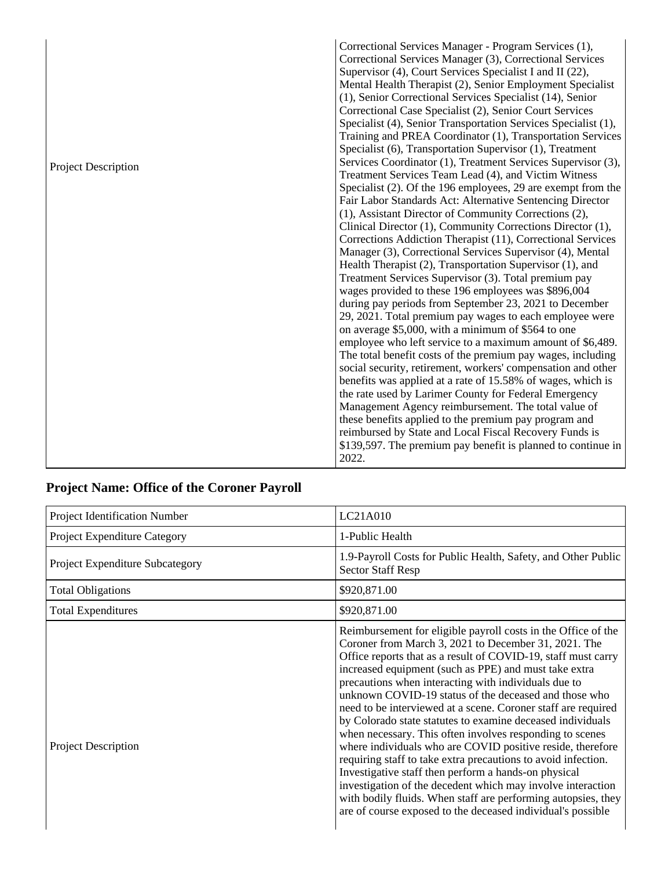|                            | Correctional Services Manager - Program Services (1),          |
|----------------------------|----------------------------------------------------------------|
|                            | Correctional Services Manager (3), Correctional Services       |
|                            | Supervisor (4), Court Services Specialist I and II (22),       |
|                            | Mental Health Therapist (2), Senior Employment Specialist      |
|                            | (1), Senior Correctional Services Specialist (14), Senior      |
|                            | Correctional Case Specialist (2), Senior Court Services        |
|                            | Specialist (4), Senior Transportation Services Specialist (1), |
|                            | Training and PREA Coordinator (1), Transportation Services     |
|                            | Specialist (6), Transportation Supervisor (1), Treatment       |
| <b>Project Description</b> | Services Coordinator (1), Treatment Services Supervisor (3),   |
|                            | Treatment Services Team Lead (4), and Victim Witness           |
|                            | Specialist (2). Of the 196 employees, 29 are exempt from the   |
|                            | Fair Labor Standards Act: Alternative Sentencing Director      |
|                            | (1), Assistant Director of Community Corrections (2),          |
|                            | Clinical Director (1), Community Corrections Director (1),     |
|                            | Corrections Addiction Therapist (11), Correctional Services    |
|                            | Manager (3), Correctional Services Supervisor (4), Mental      |
|                            | Health Therapist (2), Transportation Supervisor (1), and       |
|                            | Treatment Services Supervisor (3). Total premium pay           |
|                            | wages provided to these 196 employees was \$896,004            |
|                            | during pay periods from September 23, 2021 to December         |
|                            | 29, 2021. Total premium pay wages to each employee were        |
|                            | on average \$5,000, with a minimum of \$564 to one             |
|                            | employee who left service to a maximum amount of \$6,489.      |
|                            | The total benefit costs of the premium pay wages, including    |
|                            | social security, retirement, workers' compensation and other   |
|                            | benefits was applied at a rate of 15.58% of wages, which is    |
|                            | the rate used by Larimer County for Federal Emergency          |
|                            | Management Agency reimbursement. The total value of            |
|                            | these benefits applied to the premium pay program and          |
|                            | reimbursed by State and Local Fiscal Recovery Funds is         |
|                            | \$139,597. The premium pay benefit is planned to continue in   |
|                            | 2022.                                                          |

# **Project Name: Office of the Coroner Payroll**

| Project Identification Number       | LC21A010                                                                                                                                                                                                                                                                                                                                                                                                                                                                                                                                                                                                                                                                                                                                                                                                                                                                                                                                          |
|-------------------------------------|---------------------------------------------------------------------------------------------------------------------------------------------------------------------------------------------------------------------------------------------------------------------------------------------------------------------------------------------------------------------------------------------------------------------------------------------------------------------------------------------------------------------------------------------------------------------------------------------------------------------------------------------------------------------------------------------------------------------------------------------------------------------------------------------------------------------------------------------------------------------------------------------------------------------------------------------------|
| <b>Project Expenditure Category</b> | 1-Public Health                                                                                                                                                                                                                                                                                                                                                                                                                                                                                                                                                                                                                                                                                                                                                                                                                                                                                                                                   |
| Project Expenditure Subcategory     | 1.9-Payroll Costs for Public Health, Safety, and Other Public<br><b>Sector Staff Resp</b>                                                                                                                                                                                                                                                                                                                                                                                                                                                                                                                                                                                                                                                                                                                                                                                                                                                         |
| <b>Total Obligations</b>            | \$920,871.00                                                                                                                                                                                                                                                                                                                                                                                                                                                                                                                                                                                                                                                                                                                                                                                                                                                                                                                                      |
| <b>Total Expenditures</b>           | \$920,871.00                                                                                                                                                                                                                                                                                                                                                                                                                                                                                                                                                                                                                                                                                                                                                                                                                                                                                                                                      |
| <b>Project Description</b>          | Reimbursement for eligible payroll costs in the Office of the<br>Coroner from March 3, 2021 to December 31, 2021. The<br>Office reports that as a result of COVID-19, staff must carry<br>increased equipment (such as PPE) and must take extra<br>precautions when interacting with individuals due to<br>unknown COVID-19 status of the deceased and those who<br>need to be interviewed at a scene. Coroner staff are required<br>by Colorado state statutes to examine deceased individuals<br>when necessary. This often involves responding to scenes<br>where individuals who are COVID positive reside, therefore<br>requiring staff to take extra precautions to avoid infection.<br>Investigative staff then perform a hands-on physical<br>investigation of the decedent which may involve interaction<br>with bodily fluids. When staff are performing autopsies, they<br>are of course exposed to the deceased individual's possible |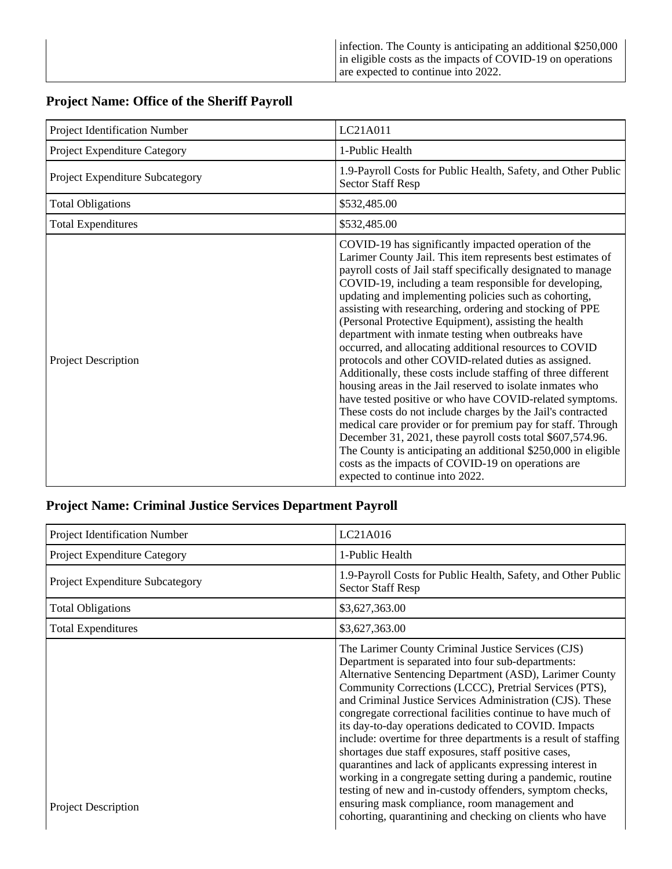#### **Project Name: Office of the Sheriff Payroll**

| Project Identification Number   | LC21A011                                                                                                                                                                                                                                                                                                                                                                                                                                                                                                                                                                                                                                                                                                                                                                                                                                                                                                                                                                                                                                                                                                                                               |
|---------------------------------|--------------------------------------------------------------------------------------------------------------------------------------------------------------------------------------------------------------------------------------------------------------------------------------------------------------------------------------------------------------------------------------------------------------------------------------------------------------------------------------------------------------------------------------------------------------------------------------------------------------------------------------------------------------------------------------------------------------------------------------------------------------------------------------------------------------------------------------------------------------------------------------------------------------------------------------------------------------------------------------------------------------------------------------------------------------------------------------------------------------------------------------------------------|
| Project Expenditure Category    | 1-Public Health                                                                                                                                                                                                                                                                                                                                                                                                                                                                                                                                                                                                                                                                                                                                                                                                                                                                                                                                                                                                                                                                                                                                        |
| Project Expenditure Subcategory | 1.9-Payroll Costs for Public Health, Safety, and Other Public<br><b>Sector Staff Resp</b>                                                                                                                                                                                                                                                                                                                                                                                                                                                                                                                                                                                                                                                                                                                                                                                                                                                                                                                                                                                                                                                              |
| <b>Total Obligations</b>        | \$532,485.00                                                                                                                                                                                                                                                                                                                                                                                                                                                                                                                                                                                                                                                                                                                                                                                                                                                                                                                                                                                                                                                                                                                                           |
| <b>Total Expenditures</b>       | \$532,485.00                                                                                                                                                                                                                                                                                                                                                                                                                                                                                                                                                                                                                                                                                                                                                                                                                                                                                                                                                                                                                                                                                                                                           |
| <b>Project Description</b>      | COVID-19 has significantly impacted operation of the<br>Larimer County Jail. This item represents best estimates of<br>payroll costs of Jail staff specifically designated to manage<br>COVID-19, including a team responsible for developing,<br>updating and implementing policies such as cohorting,<br>assisting with researching, ordering and stocking of PPE<br>(Personal Protective Equipment), assisting the health<br>department with inmate testing when outbreaks have<br>occurred, and allocating additional resources to COVID<br>protocols and other COVID-related duties as assigned.<br>Additionally, these costs include staffing of three different<br>housing areas in the Jail reserved to isolate inmates who<br>have tested positive or who have COVID-related symptoms.<br>These costs do not include charges by the Jail's contracted<br>medical care provider or for premium pay for staff. Through<br>December 31, 2021, these payroll costs total \$607,574.96.<br>The County is anticipating an additional \$250,000 in eligible<br>costs as the impacts of COVID-19 on operations are<br>expected to continue into 2022. |

#### **Project Name: Criminal Justice Services Department Payroll**

| Project Identification Number          | LC21A016                                                                                                                                                                                                                                                                                                                                                                                                                                                                                                                                                                                                                                                                                                                                                                                                                                          |
|----------------------------------------|---------------------------------------------------------------------------------------------------------------------------------------------------------------------------------------------------------------------------------------------------------------------------------------------------------------------------------------------------------------------------------------------------------------------------------------------------------------------------------------------------------------------------------------------------------------------------------------------------------------------------------------------------------------------------------------------------------------------------------------------------------------------------------------------------------------------------------------------------|
| Project Expenditure Category           | 1-Public Health                                                                                                                                                                                                                                                                                                                                                                                                                                                                                                                                                                                                                                                                                                                                                                                                                                   |
| <b>Project Expenditure Subcategory</b> | 1.9-Payroll Costs for Public Health, Safety, and Other Public<br><b>Sector Staff Resp</b>                                                                                                                                                                                                                                                                                                                                                                                                                                                                                                                                                                                                                                                                                                                                                         |
| <b>Total Obligations</b>               | \$3,627,363.00                                                                                                                                                                                                                                                                                                                                                                                                                                                                                                                                                                                                                                                                                                                                                                                                                                    |
| <b>Total Expenditures</b>              | \$3,627,363.00                                                                                                                                                                                                                                                                                                                                                                                                                                                                                                                                                                                                                                                                                                                                                                                                                                    |
| <b>Project Description</b>             | The Larimer County Criminal Justice Services (CJS)<br>Department is separated into four sub-departments:<br>Alternative Sentencing Department (ASD), Larimer County<br>Community Corrections (LCCC), Pretrial Services (PTS),<br>and Criminal Justice Services Administration (CJS). These<br>congregate correctional facilities continue to have much of<br>its day-to-day operations dedicated to COVID. Impacts<br>include: overtime for three departments is a result of staffing<br>shortages due staff exposures, staff positive cases,<br>quarantines and lack of applicants expressing interest in<br>working in a congregate setting during a pandemic, routine<br>testing of new and in-custody offenders, symptom checks,<br>ensuring mask compliance, room management and<br>cohorting, quarantining and checking on clients who have |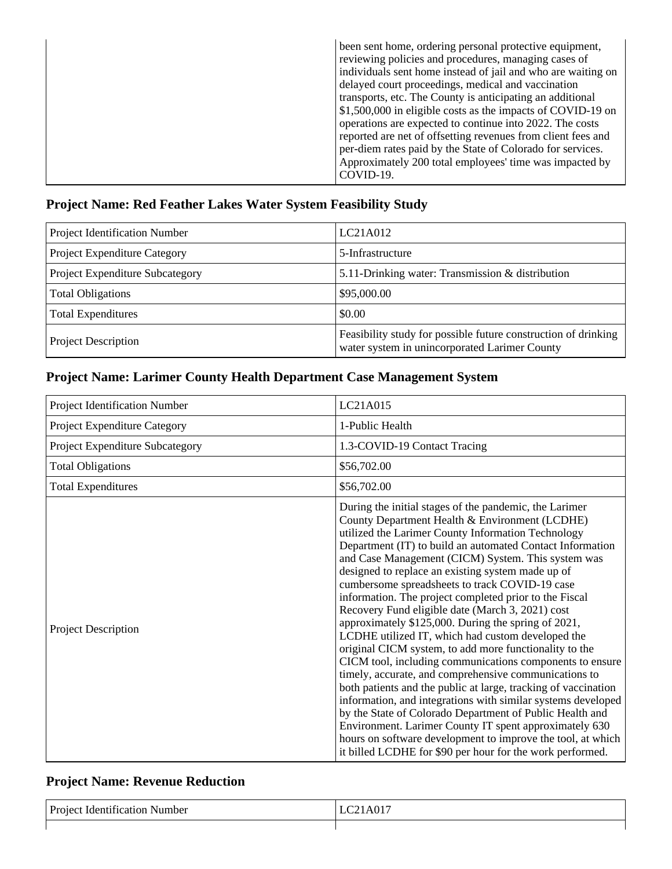|  | been sent home, ordering personal protective equipment,<br>reviewing policies and procedures, managing cases of<br>individuals sent home instead of jail and who are waiting on<br>delayed court proceedings, medical and vaccination<br>transports, etc. The County is anticipating an additional<br>\$1,500,000 in eligible costs as the impacts of COVID-19 on<br>operations are expected to continue into 2022. The costs<br>reported are net of offsetting revenues from client fees and<br>per-diem rates paid by the State of Colorado for services.<br>Approximately 200 total employees' time was impacted by<br>COVID-19. |
|--|-------------------------------------------------------------------------------------------------------------------------------------------------------------------------------------------------------------------------------------------------------------------------------------------------------------------------------------------------------------------------------------------------------------------------------------------------------------------------------------------------------------------------------------------------------------------------------------------------------------------------------------|
|--|-------------------------------------------------------------------------------------------------------------------------------------------------------------------------------------------------------------------------------------------------------------------------------------------------------------------------------------------------------------------------------------------------------------------------------------------------------------------------------------------------------------------------------------------------------------------------------------------------------------------------------------|

#### **Project Name: Red Feather Lakes Water System Feasibility Study**

| Project Identification Number   | LC21A012                                                                                                        |
|---------------------------------|-----------------------------------------------------------------------------------------------------------------|
| Project Expenditure Category    | 5-Infrastructure                                                                                                |
| Project Expenditure Subcategory | 5.11-Drinking water: Transmission & distribution                                                                |
| <b>Total Obligations</b>        | \$95,000.00                                                                                                     |
| <b>Total Expenditures</b>       | \$0.00                                                                                                          |
| <b>Project Description</b>      | Feasibility study for possible future construction of drinking<br>water system in unincorporated Larimer County |

# **Project Name: Larimer County Health Department Case Management System**

| Project Identification Number   | LC21A015                                                                                                                                                                                                                                                                                                                                                                                                                                                                                                                                                                                                                                                                                                                                                                                                                                                                                                                                                                                                                                                                                                                                                                              |
|---------------------------------|---------------------------------------------------------------------------------------------------------------------------------------------------------------------------------------------------------------------------------------------------------------------------------------------------------------------------------------------------------------------------------------------------------------------------------------------------------------------------------------------------------------------------------------------------------------------------------------------------------------------------------------------------------------------------------------------------------------------------------------------------------------------------------------------------------------------------------------------------------------------------------------------------------------------------------------------------------------------------------------------------------------------------------------------------------------------------------------------------------------------------------------------------------------------------------------|
| Project Expenditure Category    | 1-Public Health                                                                                                                                                                                                                                                                                                                                                                                                                                                                                                                                                                                                                                                                                                                                                                                                                                                                                                                                                                                                                                                                                                                                                                       |
| Project Expenditure Subcategory | 1.3-COVID-19 Contact Tracing                                                                                                                                                                                                                                                                                                                                                                                                                                                                                                                                                                                                                                                                                                                                                                                                                                                                                                                                                                                                                                                                                                                                                          |
| <b>Total Obligations</b>        | \$56,702.00                                                                                                                                                                                                                                                                                                                                                                                                                                                                                                                                                                                                                                                                                                                                                                                                                                                                                                                                                                                                                                                                                                                                                                           |
| <b>Total Expenditures</b>       | \$56,702.00                                                                                                                                                                                                                                                                                                                                                                                                                                                                                                                                                                                                                                                                                                                                                                                                                                                                                                                                                                                                                                                                                                                                                                           |
| <b>Project Description</b>      | During the initial stages of the pandemic, the Larimer<br>County Department Health & Environment (LCDHE)<br>utilized the Larimer County Information Technology<br>Department (IT) to build an automated Contact Information<br>and Case Management (CICM) System. This system was<br>designed to replace an existing system made up of<br>cumbersome spreadsheets to track COVID-19 case<br>information. The project completed prior to the Fiscal<br>Recovery Fund eligible date (March 3, 2021) cost<br>approximately \$125,000. During the spring of 2021,<br>LCDHE utilized IT, which had custom developed the<br>original CICM system, to add more functionality to the<br>CICM tool, including communications components to ensure<br>timely, accurate, and comprehensive communications to<br>both patients and the public at large, tracking of vaccination<br>information, and integrations with similar systems developed<br>by the State of Colorado Department of Public Health and<br>Environment. Larimer County IT spent approximately 630<br>hours on software development to improve the tool, at which<br>it billed LCDHE for \$90 per hour for the work performed. |

# **Project Name: Revenue Reduction**

| $\sim$<br><b>Proje</b><br>. Number<br>acation<br>ider.<br>יי | $\sim$ $-$ |
|--------------------------------------------------------------|------------|
|                                                              |            |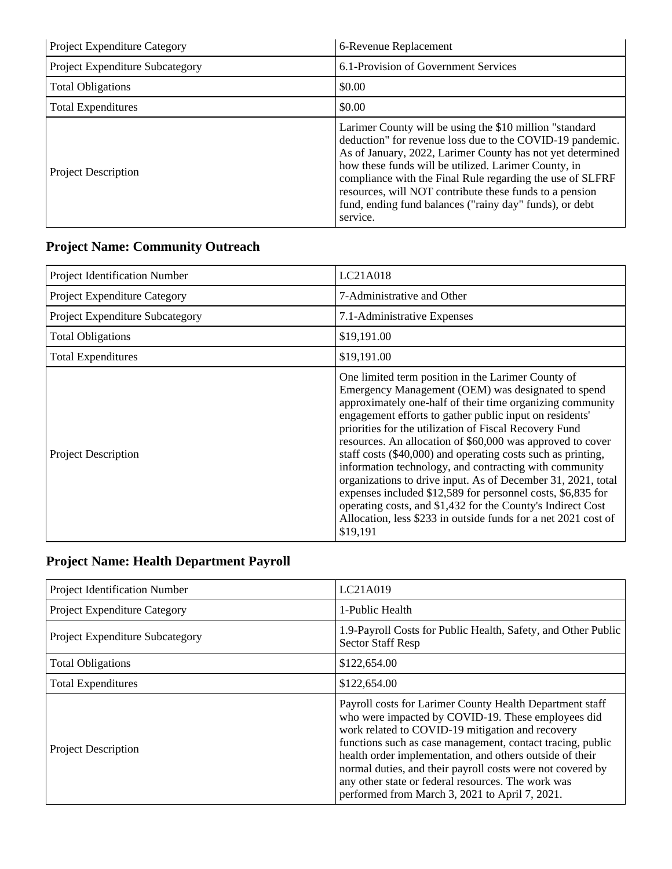| Project Expenditure Category    | 6-Revenue Replacement                                                                                                                                                                                                                                                                                                                                                                                                                      |
|---------------------------------|--------------------------------------------------------------------------------------------------------------------------------------------------------------------------------------------------------------------------------------------------------------------------------------------------------------------------------------------------------------------------------------------------------------------------------------------|
| Project Expenditure Subcategory | 6.1-Provision of Government Services                                                                                                                                                                                                                                                                                                                                                                                                       |
| <b>Total Obligations</b>        | \$0.00                                                                                                                                                                                                                                                                                                                                                                                                                                     |
| <b>Total Expenditures</b>       | \$0.00                                                                                                                                                                                                                                                                                                                                                                                                                                     |
| <b>Project Description</b>      | Larimer County will be using the \$10 million "standard"<br>deduction" for revenue loss due to the COVID-19 pandemic.<br>As of January, 2022, Larimer County has not yet determined<br>how these funds will be utilized. Larimer County, in<br>compliance with the Final Rule regarding the use of SLFRF<br>resources, will NOT contribute these funds to a pension<br>fund, ending fund balances ("rainy day" funds), or debt<br>service. |

# **Project Name: Community Outreach**

| Project Identification Number   | LC21A018                                                                                                                                                                                                                                                                                                                                                                                                                                                                                                                                                                                                                                                                                                                                                       |
|---------------------------------|----------------------------------------------------------------------------------------------------------------------------------------------------------------------------------------------------------------------------------------------------------------------------------------------------------------------------------------------------------------------------------------------------------------------------------------------------------------------------------------------------------------------------------------------------------------------------------------------------------------------------------------------------------------------------------------------------------------------------------------------------------------|
| Project Expenditure Category    | 7-Administrative and Other                                                                                                                                                                                                                                                                                                                                                                                                                                                                                                                                                                                                                                                                                                                                     |
| Project Expenditure Subcategory | 7.1-Administrative Expenses                                                                                                                                                                                                                                                                                                                                                                                                                                                                                                                                                                                                                                                                                                                                    |
| <b>Total Obligations</b>        | \$19,191.00                                                                                                                                                                                                                                                                                                                                                                                                                                                                                                                                                                                                                                                                                                                                                    |
| <b>Total Expenditures</b>       | \$19,191.00                                                                                                                                                                                                                                                                                                                                                                                                                                                                                                                                                                                                                                                                                                                                                    |
| <b>Project Description</b>      | One limited term position in the Larimer County of<br>Emergency Management (OEM) was designated to spend<br>approximately one-half of their time organizing community<br>engagement efforts to gather public input on residents'<br>priorities for the utilization of Fiscal Recovery Fund<br>resources. An allocation of \$60,000 was approved to cover<br>staff costs (\$40,000) and operating costs such as printing,<br>information technology, and contracting with community<br>organizations to drive input. As of December 31, 2021, total<br>expenses included \$12,589 for personnel costs, \$6,835 for<br>operating costs, and \$1,432 for the County's Indirect Cost<br>Allocation, less \$233 in outside funds for a net 2021 cost of<br>\$19,191 |

# **Project Name: Health Department Payroll**

| Project Identification Number          | LC21A019                                                                                                                                                                                                                                                                                                                                                                                                                                                           |
|----------------------------------------|--------------------------------------------------------------------------------------------------------------------------------------------------------------------------------------------------------------------------------------------------------------------------------------------------------------------------------------------------------------------------------------------------------------------------------------------------------------------|
| Project Expenditure Category           | 1-Public Health                                                                                                                                                                                                                                                                                                                                                                                                                                                    |
| <b>Project Expenditure Subcategory</b> | 1.9-Payroll Costs for Public Health, Safety, and Other Public<br><b>Sector Staff Resp</b>                                                                                                                                                                                                                                                                                                                                                                          |
| <b>Total Obligations</b>               | \$122,654.00                                                                                                                                                                                                                                                                                                                                                                                                                                                       |
| <b>Total Expenditures</b>              | \$122,654.00                                                                                                                                                                                                                                                                                                                                                                                                                                                       |
| <b>Project Description</b>             | Payroll costs for Larimer County Health Department staff<br>who were impacted by COVID-19. These employees did<br>work related to COVID-19 mitigation and recovery<br>functions such as case management, contact tracing, public<br>health order implementation, and others outside of their<br>normal duties, and their payroll costs were not covered by<br>any other state or federal resources. The work was<br>performed from March 3, 2021 to April 7, 2021. |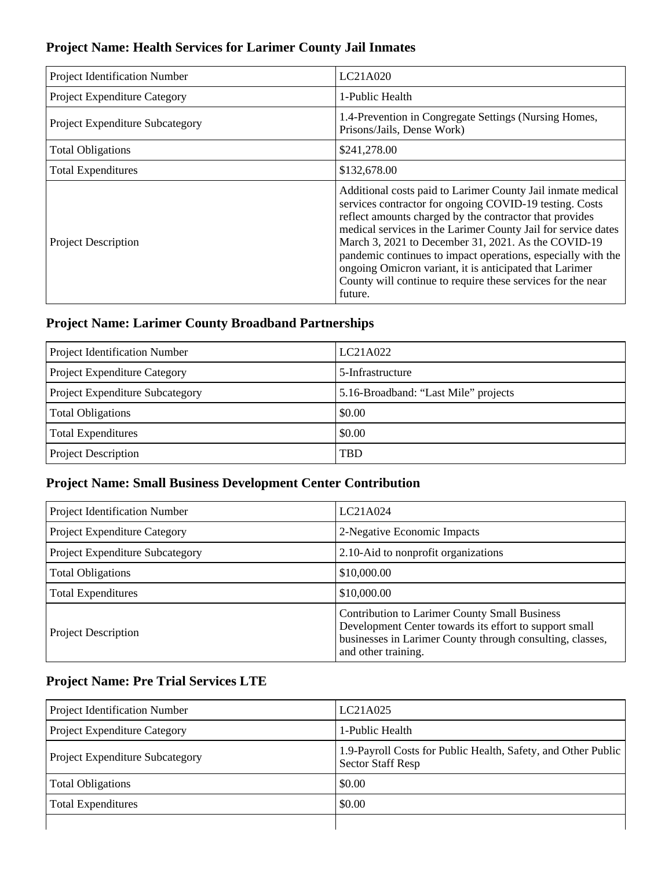### **Project Name: Health Services for Larimer County Jail Inmates**

| Project Identification Number          | LC21A020                                                                                                                                                                                                                                                                                                                                                                                                                                                                                                       |
|----------------------------------------|----------------------------------------------------------------------------------------------------------------------------------------------------------------------------------------------------------------------------------------------------------------------------------------------------------------------------------------------------------------------------------------------------------------------------------------------------------------------------------------------------------------|
| Project Expenditure Category           | 1-Public Health                                                                                                                                                                                                                                                                                                                                                                                                                                                                                                |
| <b>Project Expenditure Subcategory</b> | 1.4-Prevention in Congregate Settings (Nursing Homes,<br>Prisons/Jails, Dense Work)                                                                                                                                                                                                                                                                                                                                                                                                                            |
| <b>Total Obligations</b>               | \$241,278.00                                                                                                                                                                                                                                                                                                                                                                                                                                                                                                   |
| <b>Total Expenditures</b>              | \$132,678.00                                                                                                                                                                                                                                                                                                                                                                                                                                                                                                   |
| <b>Project Description</b>             | Additional costs paid to Larimer County Jail inmate medical<br>services contractor for ongoing COVID-19 testing. Costs<br>reflect amounts charged by the contractor that provides<br>medical services in the Larimer County Jail for service dates<br>March 3, 2021 to December 31, 2021. As the COVID-19<br>pandemic continues to impact operations, especially with the<br>ongoing Omicron variant, it is anticipated that Larimer<br>County will continue to require these services for the near<br>future. |

# **Project Name: Larimer County Broadband Partnerships**

| Project Identification Number   | LC21A022                             |
|---------------------------------|--------------------------------------|
| Project Expenditure Category    | 5-Infrastructure                     |
| Project Expenditure Subcategory | 5.16-Broadband: "Last Mile" projects |
| <b>Total Obligations</b>        | \$0.00                               |
| <b>Total Expenditures</b>       | \$0.00                               |
| <b>Project Description</b>      | <b>TBD</b>                           |

### **Project Name: Small Business Development Center Contribution**

| Project Identification Number   | LC21A024                                                                                                                                                                                           |
|---------------------------------|----------------------------------------------------------------------------------------------------------------------------------------------------------------------------------------------------|
| Project Expenditure Category    | 2-Negative Economic Impacts                                                                                                                                                                        |
| Project Expenditure Subcategory | 2.10-Aid to nonprofit organizations                                                                                                                                                                |
| <b>Total Obligations</b>        | \$10,000.00                                                                                                                                                                                        |
| <b>Total Expenditures</b>       | \$10,000.00                                                                                                                                                                                        |
| <b>Project Description</b>      | <b>Contribution to Larimer County Small Business</b><br>Development Center towards its effort to support small<br>businesses in Larimer County through consulting, classes,<br>and other training. |

# **Project Name: Pre Trial Services LTE**

| <b>Project Identification Number</b>   | LC21A025                                                                                  |
|----------------------------------------|-------------------------------------------------------------------------------------------|
| <b>Project Expenditure Category</b>    | 1-Public Health                                                                           |
| <b>Project Expenditure Subcategory</b> | 1.9-Payroll Costs for Public Health, Safety, and Other Public<br><b>Sector Staff Resp</b> |
| <b>Total Obligations</b>               | \$0.00                                                                                    |
| <b>Total Expenditures</b>              | \$0.00                                                                                    |
|                                        |                                                                                           |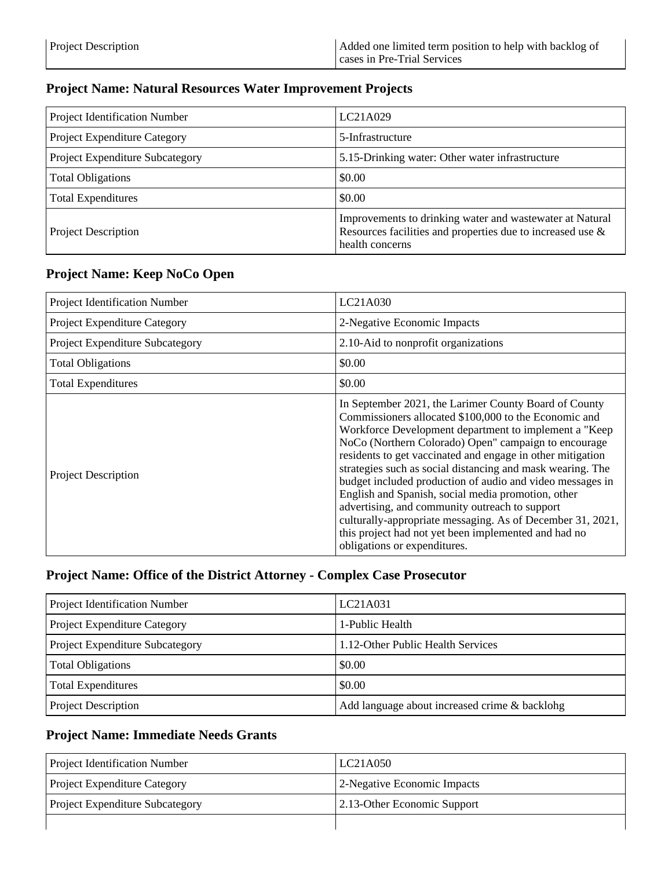#### **Project Name: Natural Resources Water Improvement Projects**

| Project Identification Number   | LC21A029                                                                                                                                     |
|---------------------------------|----------------------------------------------------------------------------------------------------------------------------------------------|
| Project Expenditure Category    | 5-Infrastructure                                                                                                                             |
| Project Expenditure Subcategory | 5.15-Drinking water: Other water infrastructure                                                                                              |
| <b>Total Obligations</b>        | \$0.00                                                                                                                                       |
| <b>Total Expenditures</b>       | \$0.00                                                                                                                                       |
| <b>Project Description</b>      | Improvements to drinking water and wastewater at Natural<br>Resources facilities and properties due to increased use $\&$<br>health concerns |

#### **Project Name: Keep NoCo Open**

| Project Identification Number          | LC21A030                                                                                                                                                                                                                                                                                                                                                                                                                                                                                                                                                                                                                                                                                |
|----------------------------------------|-----------------------------------------------------------------------------------------------------------------------------------------------------------------------------------------------------------------------------------------------------------------------------------------------------------------------------------------------------------------------------------------------------------------------------------------------------------------------------------------------------------------------------------------------------------------------------------------------------------------------------------------------------------------------------------------|
| <b>Project Expenditure Category</b>    | 2-Negative Economic Impacts                                                                                                                                                                                                                                                                                                                                                                                                                                                                                                                                                                                                                                                             |
| <b>Project Expenditure Subcategory</b> | 2.10-Aid to nonprofit organizations                                                                                                                                                                                                                                                                                                                                                                                                                                                                                                                                                                                                                                                     |
| <b>Total Obligations</b>               | \$0.00                                                                                                                                                                                                                                                                                                                                                                                                                                                                                                                                                                                                                                                                                  |
| <b>Total Expenditures</b>              | \$0.00                                                                                                                                                                                                                                                                                                                                                                                                                                                                                                                                                                                                                                                                                  |
| <b>Project Description</b>             | In September 2021, the Larimer County Board of County<br>Commissioners allocated \$100,000 to the Economic and<br>Workforce Development department to implement a "Keep"<br>NoCo (Northern Colorado) Open" campaign to encourage<br>residents to get vaccinated and engage in other mitigation<br>strategies such as social distancing and mask wearing. The<br>budget included production of audio and video messages in<br>English and Spanish, social media promotion, other<br>advertising, and community outreach to support<br>culturally-appropriate messaging. As of December 31, 2021,<br>this project had not yet been implemented and had no<br>obligations or expenditures. |

#### **Project Name: Office of the District Attorney - Complex Case Prosecutor**

| Project Identification Number   | LC21A031                                      |
|---------------------------------|-----------------------------------------------|
| Project Expenditure Category    | 1-Public Health                               |
| Project Expenditure Subcategory | 1.12-Other Public Health Services             |
| <b>Total Obligations</b>        | \$0.00                                        |
| <b>Total Expenditures</b>       | \$0.00                                        |
| Project Description             | Add language about increased crime & backlohg |

#### **Project Name: Immediate Needs Grants**

| <b>Project Identification Number</b>   | LC21A050                    |
|----------------------------------------|-----------------------------|
| <b>Project Expenditure Category</b>    | 2-Negative Economic Impacts |
| <b>Project Expenditure Subcategory</b> | 2.13-Other Economic Support |
|                                        |                             |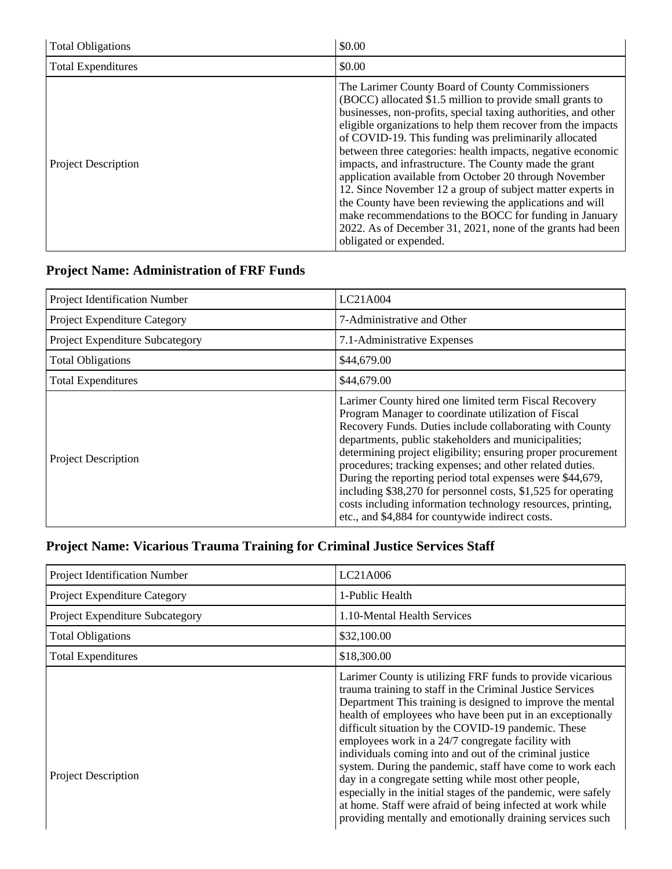| <b>Total Obligations</b>   | \$0.00                                                                                                                                                                                                                                                                                                                                                                                                                                                                                                                                                                                                                                                                                                                                                                   |
|----------------------------|--------------------------------------------------------------------------------------------------------------------------------------------------------------------------------------------------------------------------------------------------------------------------------------------------------------------------------------------------------------------------------------------------------------------------------------------------------------------------------------------------------------------------------------------------------------------------------------------------------------------------------------------------------------------------------------------------------------------------------------------------------------------------|
| <b>Total Expenditures</b>  | \$0.00                                                                                                                                                                                                                                                                                                                                                                                                                                                                                                                                                                                                                                                                                                                                                                   |
| <b>Project Description</b> | The Larimer County Board of County Commissioners<br>(BOCC) allocated \$1.5 million to provide small grants to<br>businesses, non-profits, special taxing authorities, and other<br>eligible organizations to help them recover from the impacts<br>of COVID-19. This funding was preliminarily allocated<br>between three categories: health impacts, negative economic<br>impacts, and infrastructure. The County made the grant<br>application available from October 20 through November<br>12. Since November 12 a group of subject matter experts in<br>the County have been reviewing the applications and will<br>make recommendations to the BOCC for funding in January<br>2022. As of December 31, 2021, none of the grants had been<br>obligated or expended. |

# **Project Name: Administration of FRF Funds**

| Project Identification Number   | LC21A004                                                                                                                                                                                                                                                                                                                                                                                                                                                                                                                                                                                                      |
|---------------------------------|---------------------------------------------------------------------------------------------------------------------------------------------------------------------------------------------------------------------------------------------------------------------------------------------------------------------------------------------------------------------------------------------------------------------------------------------------------------------------------------------------------------------------------------------------------------------------------------------------------------|
| Project Expenditure Category    | 7-Administrative and Other                                                                                                                                                                                                                                                                                                                                                                                                                                                                                                                                                                                    |
| Project Expenditure Subcategory | 7.1-Administrative Expenses                                                                                                                                                                                                                                                                                                                                                                                                                                                                                                                                                                                   |
| <b>Total Obligations</b>        | \$44,679.00                                                                                                                                                                                                                                                                                                                                                                                                                                                                                                                                                                                                   |
| <b>Total Expenditures</b>       | \$44,679.00                                                                                                                                                                                                                                                                                                                                                                                                                                                                                                                                                                                                   |
| <b>Project Description</b>      | Larimer County hired one limited term Fiscal Recovery<br>Program Manager to coordinate utilization of Fiscal<br>Recovery Funds. Duties include collaborating with County<br>departments, public stakeholders and municipalities;<br>determining project eligibility; ensuring proper procurement<br>procedures; tracking expenses; and other related duties.<br>During the reporting period total expenses were \$44,679,<br>including \$38,270 for personnel costs, \$1,525 for operating<br>costs including information technology resources, printing,<br>etc., and \$4,884 for countywide indirect costs. |

# **Project Name: Vicarious Trauma Training for Criminal Justice Services Staff**

| Project Identification Number   | LC21A006                                                                                                                                                                                                                                                                                                                                                                                                                                                                                                                                                                                                                                                                                                                                   |
|---------------------------------|--------------------------------------------------------------------------------------------------------------------------------------------------------------------------------------------------------------------------------------------------------------------------------------------------------------------------------------------------------------------------------------------------------------------------------------------------------------------------------------------------------------------------------------------------------------------------------------------------------------------------------------------------------------------------------------------------------------------------------------------|
| Project Expenditure Category    | 1-Public Health                                                                                                                                                                                                                                                                                                                                                                                                                                                                                                                                                                                                                                                                                                                            |
| Project Expenditure Subcategory | 1.10-Mental Health Services                                                                                                                                                                                                                                                                                                                                                                                                                                                                                                                                                                                                                                                                                                                |
| <b>Total Obligations</b>        | \$32,100.00                                                                                                                                                                                                                                                                                                                                                                                                                                                                                                                                                                                                                                                                                                                                |
| <b>Total Expenditures</b>       | \$18,300.00                                                                                                                                                                                                                                                                                                                                                                                                                                                                                                                                                                                                                                                                                                                                |
| <b>Project Description</b>      | Larimer County is utilizing FRF funds to provide vicarious<br>trauma training to staff in the Criminal Justice Services<br>Department This training is designed to improve the mental<br>health of employees who have been put in an exceptionally<br>difficult situation by the COVID-19 pandemic. These<br>employees work in a 24/7 congregate facility with<br>individuals coming into and out of the criminal justice<br>system. During the pandemic, staff have come to work each<br>day in a congregate setting while most other people,<br>especially in the initial stages of the pandemic, were safely<br>at home. Staff were afraid of being infected at work while<br>providing mentally and emotionally draining services such |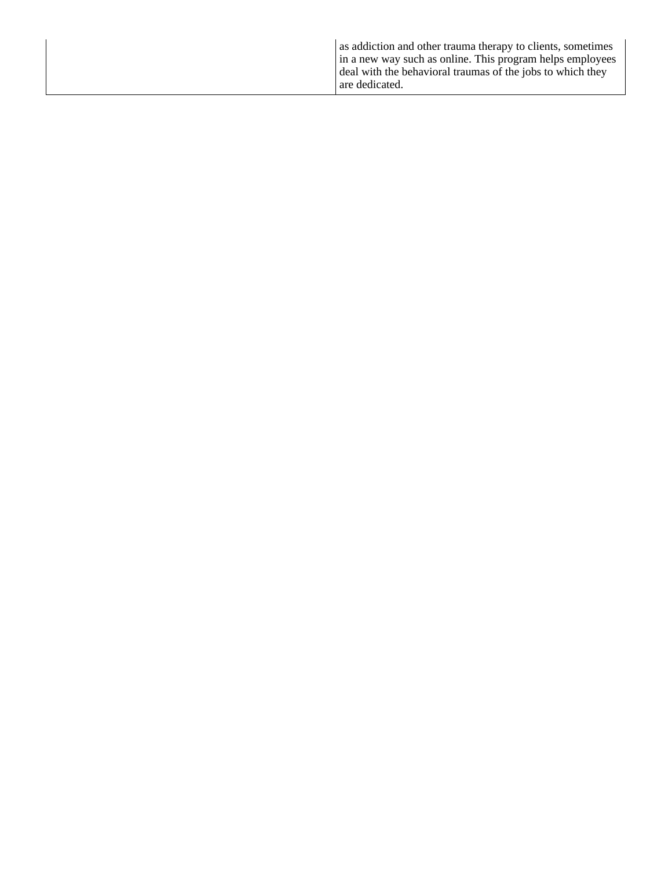|  | as addiction and other trauma therapy to clients, sometimes<br>in a new way such as online. This program helps employees<br>deal with the behavioral traumas of the jobs to which they<br>are dedicated. |
|--|----------------------------------------------------------------------------------------------------------------------------------------------------------------------------------------------------------|
|--|----------------------------------------------------------------------------------------------------------------------------------------------------------------------------------------------------------|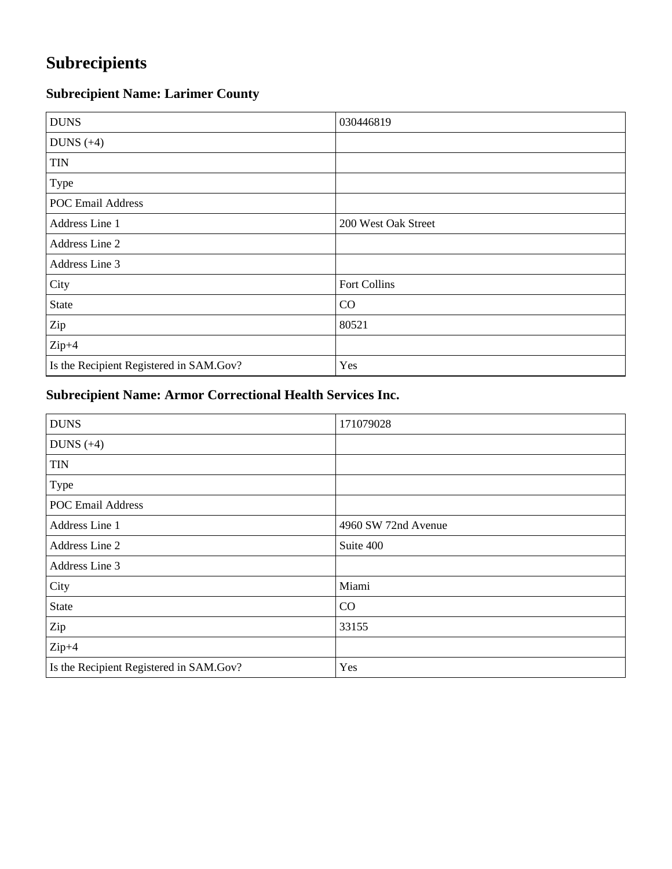# **Subrecipients**

# **Subrecipient Name: Larimer County**

| <b>DUNS</b>                             | 030446819           |
|-----------------------------------------|---------------------|
| DUNS $(+4)$                             |                     |
| <b>TIN</b>                              |                     |
| Type                                    |                     |
| <b>POC Email Address</b>                |                     |
| Address Line 1                          | 200 West Oak Street |
| Address Line 2                          |                     |
| Address Line 3                          |                     |
| City                                    | Fort Collins        |
| <b>State</b>                            | CO                  |
| Zip                                     | 80521               |
| $Zip+4$                                 |                     |
| Is the Recipient Registered in SAM.Gov? | Yes                 |

# **Subrecipient Name: Armor Correctional Health Services Inc.**

| <b>DUNS</b>                             | 171079028           |
|-----------------------------------------|---------------------|
| DUNS $(+4)$                             |                     |
| <b>TIN</b>                              |                     |
| Type                                    |                     |
| <b>POC Email Address</b>                |                     |
| Address Line 1                          | 4960 SW 72nd Avenue |
| Address Line 2                          | Suite 400           |
| Address Line 3                          |                     |
| City                                    | Miami               |
| <b>State</b>                            | CO                  |
| Zip                                     | 33155               |
| $Zip+4$                                 |                     |
| Is the Recipient Registered in SAM.Gov? | Yes                 |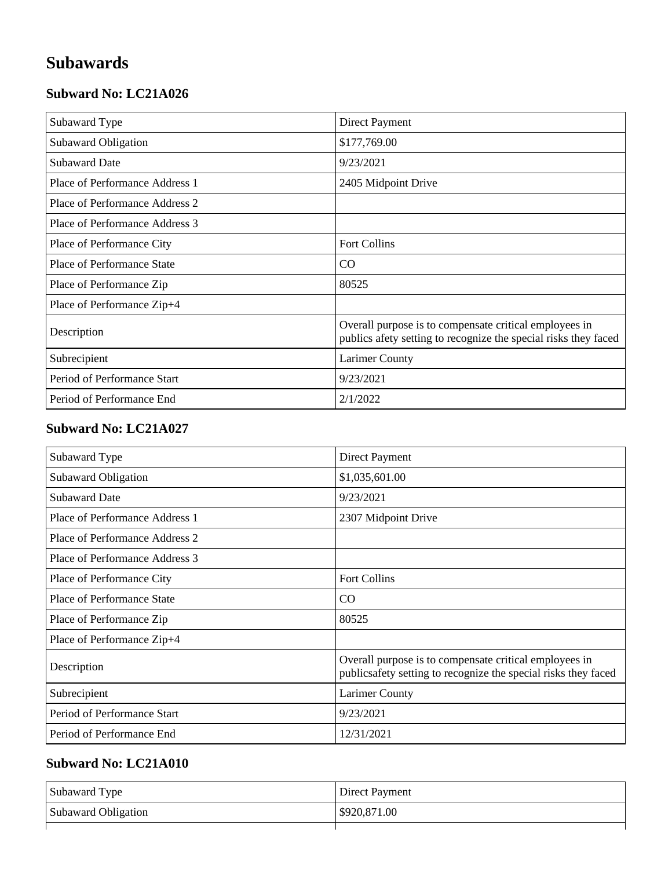# **Subawards**

#### **Subward No: LC21A026**

| Subaward Type                  | Direct Payment                                                                                                            |
|--------------------------------|---------------------------------------------------------------------------------------------------------------------------|
| <b>Subaward Obligation</b>     | \$177,769.00                                                                                                              |
| <b>Subaward Date</b>           | 9/23/2021                                                                                                                 |
| Place of Performance Address 1 | 2405 Midpoint Drive                                                                                                       |
| Place of Performance Address 2 |                                                                                                                           |
| Place of Performance Address 3 |                                                                                                                           |
| Place of Performance City      | <b>Fort Collins</b>                                                                                                       |
| Place of Performance State     | CO.                                                                                                                       |
| Place of Performance Zip       | 80525                                                                                                                     |
| Place of Performance Zip+4     |                                                                                                                           |
| Description                    | Overall purpose is to compensate critical employees in<br>publics afety setting to recognize the special risks they faced |
| Subrecipient                   | <b>Larimer County</b>                                                                                                     |
| Period of Performance Start    | 9/23/2021                                                                                                                 |
| Period of Performance End      | 2/1/2022                                                                                                                  |

#### **Subward No: LC21A027**

| Subaward Type                     | <b>Direct Payment</b>                                                                                                     |
|-----------------------------------|---------------------------------------------------------------------------------------------------------------------------|
| Subaward Obligation               | \$1,035,601.00                                                                                                            |
| <b>Subaward Date</b>              | 9/23/2021                                                                                                                 |
| Place of Performance Address 1    | 2307 Midpoint Drive                                                                                                       |
| Place of Performance Address 2    |                                                                                                                           |
| Place of Performance Address 3    |                                                                                                                           |
| Place of Performance City         | <b>Fort Collins</b>                                                                                                       |
| <b>Place of Performance State</b> | CO.                                                                                                                       |
| Place of Performance Zip          | 80525                                                                                                                     |
| Place of Performance Zip+4        |                                                                                                                           |
| Description                       | Overall purpose is to compensate critical employees in<br>publics afety setting to recognize the special risks they faced |
| Subrecipient                      | <b>Larimer County</b>                                                                                                     |
| Period of Performance Start       | 9/23/2021                                                                                                                 |
| Period of Performance End         | 12/31/2021                                                                                                                |

| Subaward Type       | Direct Payment |
|---------------------|----------------|
| Subaward Obligation | \$920,871.00   |
|                     |                |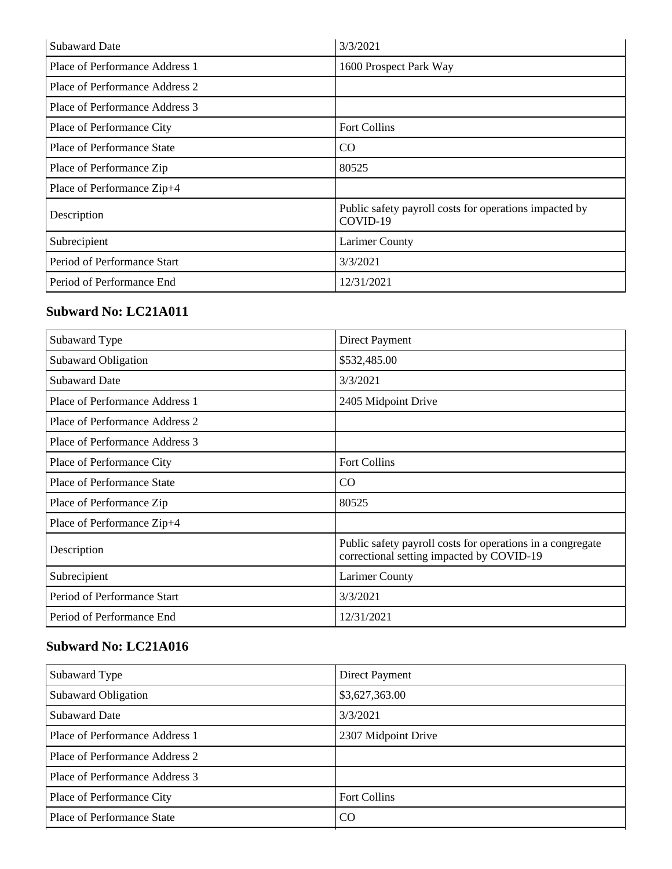| <b>Subaward Date</b>              | 3/3/2021                                                           |
|-----------------------------------|--------------------------------------------------------------------|
| Place of Performance Address 1    | 1600 Prospect Park Way                                             |
| Place of Performance Address 2    |                                                                    |
| Place of Performance Address 3    |                                                                    |
| Place of Performance City         | <b>Fort Collins</b>                                                |
| <b>Place of Performance State</b> | CO                                                                 |
| Place of Performance Zip          | 80525                                                              |
| Place of Performance Zip+4        |                                                                    |
| Description                       | Public safety payroll costs for operations impacted by<br>COVID-19 |
| Subrecipient                      | <b>Larimer County</b>                                              |
| Period of Performance Start       | 3/3/2021                                                           |
| Period of Performance End         | 12/31/2021                                                         |

# **Subward No: LC21A011**

| Subaward Type                     | <b>Direct Payment</b>                                                                                   |
|-----------------------------------|---------------------------------------------------------------------------------------------------------|
| <b>Subaward Obligation</b>        | \$532,485.00                                                                                            |
| <b>Subaward Date</b>              | 3/3/2021                                                                                                |
| Place of Performance Address 1    | 2405 Midpoint Drive                                                                                     |
| Place of Performance Address 2    |                                                                                                         |
| Place of Performance Address 3    |                                                                                                         |
| Place of Performance City         | <b>Fort Collins</b>                                                                                     |
| <b>Place of Performance State</b> | CO                                                                                                      |
| Place of Performance Zip          | 80525                                                                                                   |
| Place of Performance Zip+4        |                                                                                                         |
| Description                       | Public safety payroll costs for operations in a congregate<br>correctional setting impacted by COVID-19 |
| Subrecipient                      | <b>Larimer County</b>                                                                                   |
| Period of Performance Start       | 3/3/2021                                                                                                |
| Period of Performance End         | 12/31/2021                                                                                              |

| Subaward Type                     | Direct Payment      |
|-----------------------------------|---------------------|
| <b>Subaward Obligation</b>        | \$3,627,363.00      |
| <b>Subaward Date</b>              | 3/3/2021            |
| Place of Performance Address 1    | 2307 Midpoint Drive |
| Place of Performance Address 2    |                     |
| Place of Performance Address 3    |                     |
| Place of Performance City         | <b>Fort Collins</b> |
| <b>Place of Performance State</b> | C <sub>O</sub>      |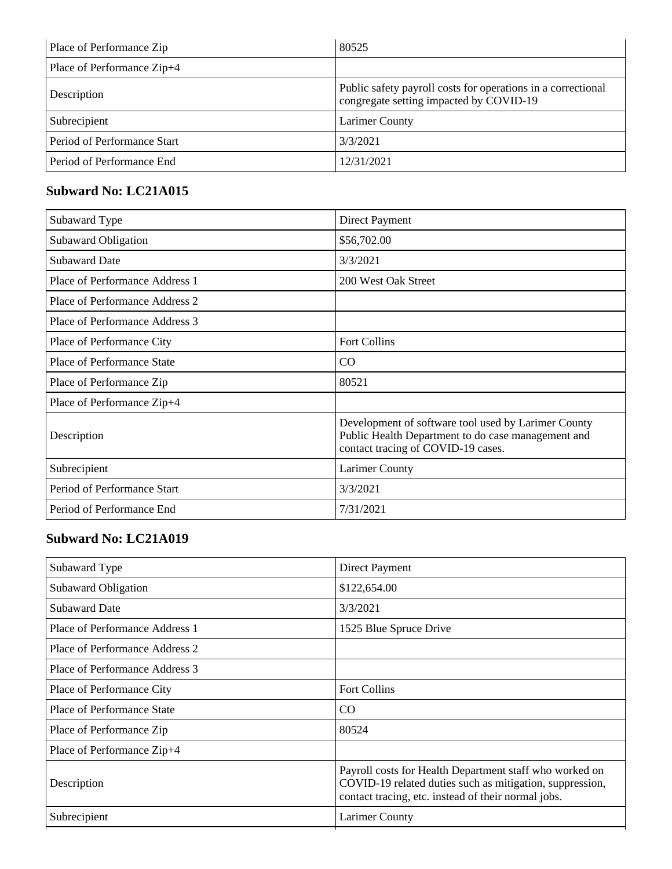| Place of Performance Zip    | 80525                                                                                                   |
|-----------------------------|---------------------------------------------------------------------------------------------------------|
| Place of Performance Zip+4  |                                                                                                         |
| Description                 | Public safety payroll costs for operations in a correctional<br>congregate setting impacted by COVID-19 |
| Subrecipient                | Larimer County                                                                                          |
| Period of Performance Start | 3/3/2021                                                                                                |
| Period of Performance End   | 12/31/2021                                                                                              |

### **Subward No: LC21A015**

| Subaward Type                     | Direct Payment                                                                                                                                  |
|-----------------------------------|-------------------------------------------------------------------------------------------------------------------------------------------------|
| <b>Subaward Obligation</b>        | \$56,702.00                                                                                                                                     |
| <b>Subaward Date</b>              | 3/3/2021                                                                                                                                        |
| Place of Performance Address 1    | 200 West Oak Street                                                                                                                             |
| Place of Performance Address 2    |                                                                                                                                                 |
| Place of Performance Address 3    |                                                                                                                                                 |
| Place of Performance City         | Fort Collins                                                                                                                                    |
| <b>Place of Performance State</b> | CO                                                                                                                                              |
| Place of Performance Zip          | 80521                                                                                                                                           |
| Place of Performance Zip+4        |                                                                                                                                                 |
| Description                       | Development of software tool used by Larimer County<br>Public Health Department to do case management and<br>contact tracing of COVID-19 cases. |
| Subrecipient                      | <b>Larimer County</b>                                                                                                                           |
| Period of Performance Start       | 3/3/2021                                                                                                                                        |
| Period of Performance End         | 7/31/2021                                                                                                                                       |

| Subaward Type                  | <b>Direct Payment</b>                                                                                                                                                      |
|--------------------------------|----------------------------------------------------------------------------------------------------------------------------------------------------------------------------|
| <b>Subaward Obligation</b>     | \$122,654.00                                                                                                                                                               |
| <b>Subaward Date</b>           | 3/3/2021                                                                                                                                                                   |
| Place of Performance Address 1 | 1525 Blue Spruce Drive                                                                                                                                                     |
| Place of Performance Address 2 |                                                                                                                                                                            |
| Place of Performance Address 3 |                                                                                                                                                                            |
| Place of Performance City      | <b>Fort Collins</b>                                                                                                                                                        |
| Place of Performance State     | CO                                                                                                                                                                         |
| Place of Performance Zip       | 80524                                                                                                                                                                      |
| Place of Performance Zip+4     |                                                                                                                                                                            |
| Description                    | Payroll costs for Health Department staff who worked on<br>COVID-19 related duties such as mitigation, suppression,<br>contact tracing, etc. instead of their normal jobs. |
| Subrecipient                   | <b>Larimer County</b>                                                                                                                                                      |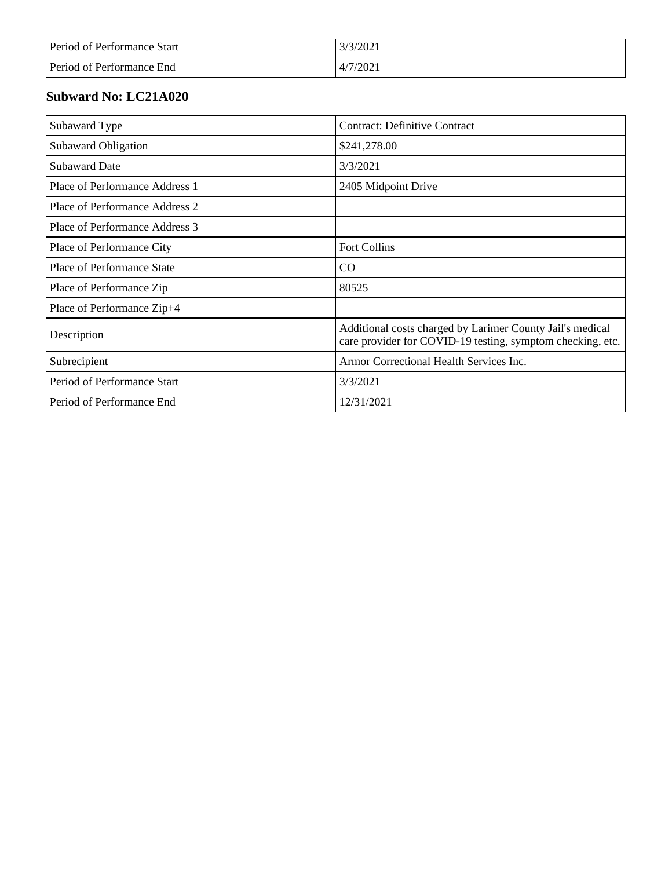| Period of Performance Start | 3/3/2021 |
|-----------------------------|----------|
| Period of Performance End   | 4/7/2021 |

| Subaward Type                     | <b>Contract: Definitive Contract</b>                                                                                    |
|-----------------------------------|-------------------------------------------------------------------------------------------------------------------------|
| Subaward Obligation               | \$241,278.00                                                                                                            |
| <b>Subaward Date</b>              | 3/3/2021                                                                                                                |
| Place of Performance Address 1    | 2405 Midpoint Drive                                                                                                     |
| Place of Performance Address 2    |                                                                                                                         |
| Place of Performance Address 3    |                                                                                                                         |
| Place of Performance City         | <b>Fort Collins</b>                                                                                                     |
| <b>Place of Performance State</b> | CO                                                                                                                      |
| Place of Performance Zip          | 80525                                                                                                                   |
| Place of Performance Zip+4        |                                                                                                                         |
| Description                       | Additional costs charged by Larimer County Jail's medical<br>care provider for COVID-19 testing, symptom checking, etc. |
| Subrecipient                      | Armor Correctional Health Services Inc.                                                                                 |
| Period of Performance Start       | 3/3/2021                                                                                                                |
| Period of Performance End         | 12/31/2021                                                                                                              |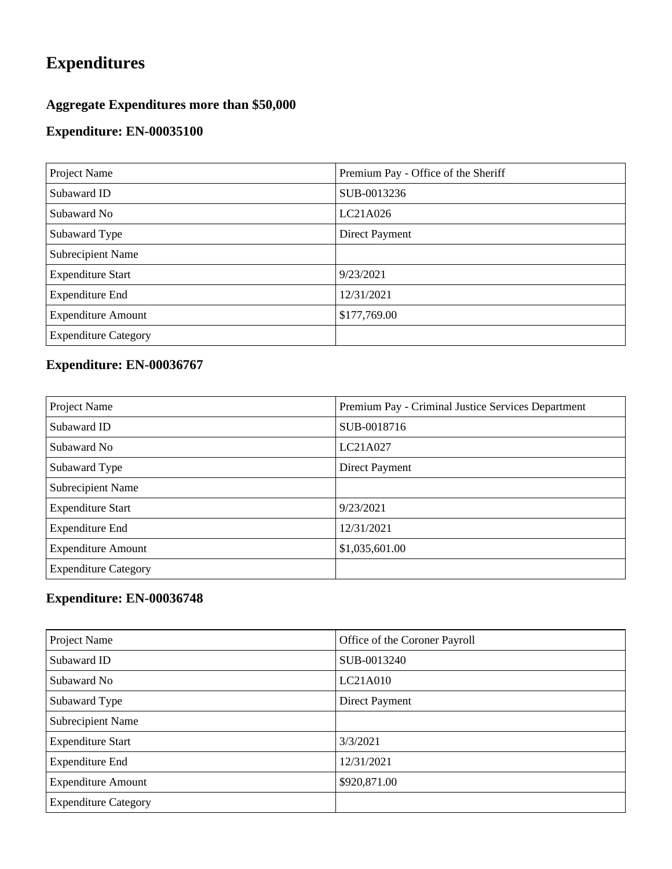# **Expenditures**

# **Aggregate Expenditures more than \$50,000**

### **Expenditure: EN-00035100**

| Project Name                | Premium Pay - Office of the Sheriff |
|-----------------------------|-------------------------------------|
| Subaward ID                 | SUB-0013236                         |
| Subaward No                 | LC21A026                            |
| Subaward Type               | Direct Payment                      |
| <b>Subrecipient Name</b>    |                                     |
| <b>Expenditure Start</b>    | 9/23/2021                           |
| <b>Expenditure End</b>      | 12/31/2021                          |
| <b>Expenditure Amount</b>   | \$177,769.00                        |
| <b>Expenditure Category</b> |                                     |

# **Expenditure: EN-00036767**

| Project Name                | Premium Pay - Criminal Justice Services Department |
|-----------------------------|----------------------------------------------------|
| Subaward ID                 | SUB-0018716                                        |
| Subaward No                 | LC21A027                                           |
| Subaward Type               | <b>Direct Payment</b>                              |
| <b>Subrecipient Name</b>    |                                                    |
| <b>Expenditure Start</b>    | 9/23/2021                                          |
| <b>Expenditure End</b>      | 12/31/2021                                         |
| <b>Expenditure Amount</b>   | \$1,035,601.00                                     |
| <b>Expenditure Category</b> |                                                    |

| Project Name                | Office of the Coroner Payroll |
|-----------------------------|-------------------------------|
| Subaward ID                 | SUB-0013240                   |
| Subaward No                 | LC21A010                      |
| Subaward Type               | Direct Payment                |
| Subrecipient Name           |                               |
| <b>Expenditure Start</b>    | 3/3/2021                      |
| <b>Expenditure End</b>      | 12/31/2021                    |
| <b>Expenditure Amount</b>   | \$920,871.00                  |
| <b>Expenditure Category</b> |                               |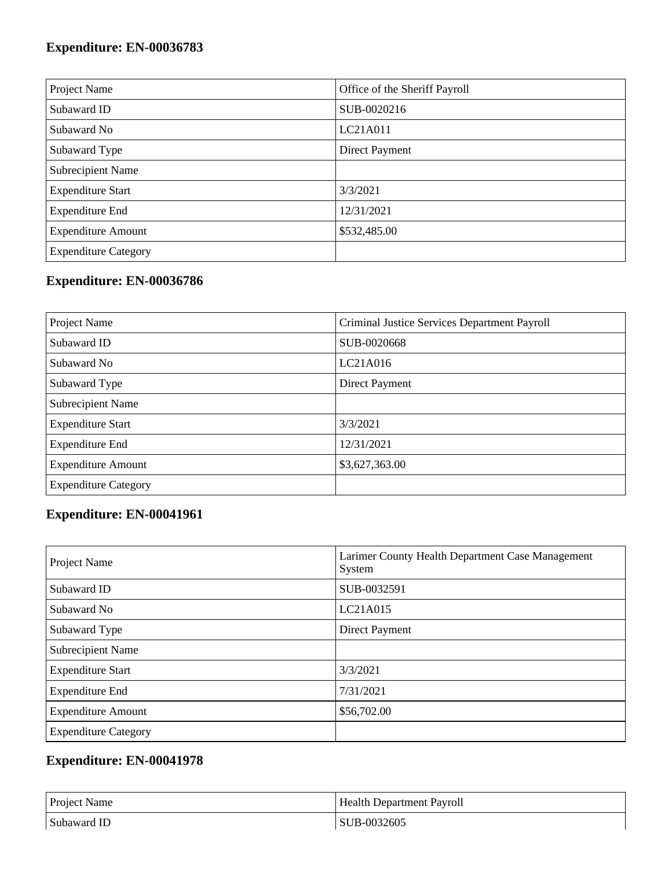# **Expenditure: EN-00036783**

| Project Name                | Office of the Sheriff Payroll |
|-----------------------------|-------------------------------|
| Subaward ID                 | SUB-0020216                   |
| Subaward No                 | LC21A011                      |
| Subaward Type               | Direct Payment                |
| Subrecipient Name           |                               |
| <b>Expenditure Start</b>    | 3/3/2021                      |
| <b>Expenditure End</b>      | 12/31/2021                    |
| <b>Expenditure Amount</b>   | \$532,485.00                  |
| <b>Expenditure Category</b> |                               |

# **Expenditure: EN-00036786**

| Project Name                | Criminal Justice Services Department Payroll |
|-----------------------------|----------------------------------------------|
| Subaward ID                 | SUB-0020668                                  |
| Subaward No                 | LC21A016                                     |
| Subaward Type               | <b>Direct Payment</b>                        |
| Subrecipient Name           |                                              |
| <b>Expenditure Start</b>    | 3/3/2021                                     |
| <b>Expenditure End</b>      | 12/31/2021                                   |
| <b>Expenditure Amount</b>   | \$3,627,363.00                               |
| <b>Expenditure Category</b> |                                              |

# **Expenditure: EN-00041961**

| Project Name                | Larimer County Health Department Case Management<br>System |
|-----------------------------|------------------------------------------------------------|
| Subaward ID                 | SUB-0032591                                                |
| Subaward No.                | LC21A015                                                   |
| Subaward Type               | <b>Direct Payment</b>                                      |
| <b>Subrecipient Name</b>    |                                                            |
| <b>Expenditure Start</b>    | 3/3/2021                                                   |
| <b>Expenditure End</b>      | 7/31/2021                                                  |
| <b>Expenditure Amount</b>   | \$56,702.00                                                |
| <b>Expenditure Category</b> |                                                            |

| <b>Project Name</b> | <b>Health Department Payroll</b> |
|---------------------|----------------------------------|
| Subaward ID         | SUB-0032605                      |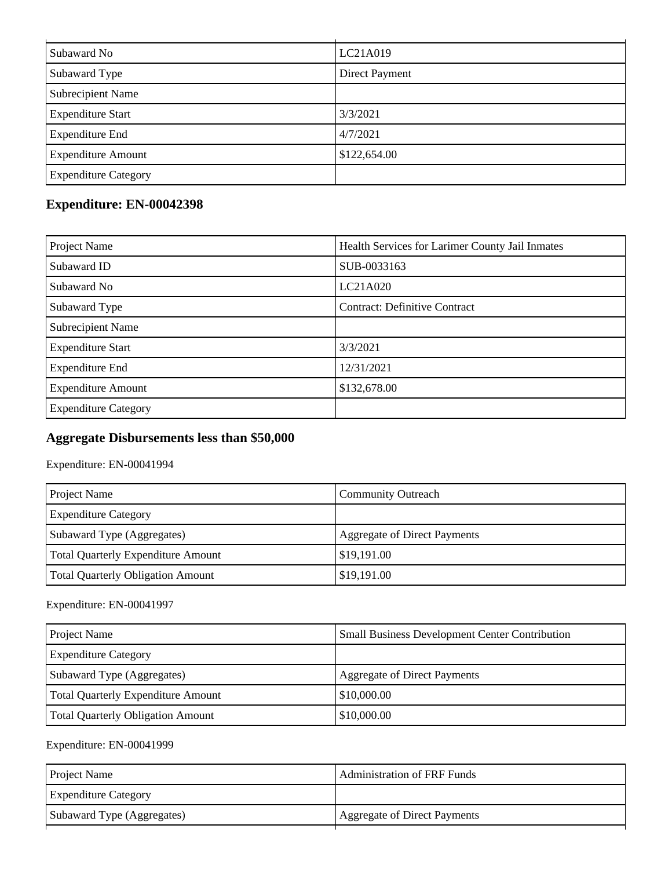| Subaward No                 | LC21A019              |
|-----------------------------|-----------------------|
| Subaward Type               | <b>Direct Payment</b> |
| <b>Subrecipient Name</b>    |                       |
| <b>Expenditure Start</b>    | 3/3/2021              |
| <b>Expenditure End</b>      | 4/7/2021              |
| <b>Expenditure Amount</b>   | \$122,654.00          |
| <b>Expenditure Category</b> |                       |

# **Expenditure: EN-00042398**

| Project Name                | Health Services for Larimer County Jail Inmates |
|-----------------------------|-------------------------------------------------|
| Subaward ID                 | SUB-0033163                                     |
| Subaward No                 | LC21A020                                        |
| Subaward Type               | <b>Contract: Definitive Contract</b>            |
| Subrecipient Name           |                                                 |
| <b>Expenditure Start</b>    | 3/3/2021                                        |
| <b>Expenditure End</b>      | 12/31/2021                                      |
| <b>Expenditure Amount</b>   | \$132,678.00                                    |
| <b>Expenditure Category</b> |                                                 |

# **Aggregate Disbursements less than \$50,000**

Expenditure: EN-00041994

| Project Name                             | <b>Community Outreach</b>    |
|------------------------------------------|------------------------------|
| <b>Expenditure Category</b>              |                              |
| Subaward Type (Aggregates)               | Aggregate of Direct Payments |
| Total Quarterly Expenditure Amount       | \$19,191.00                  |
| <b>Total Quarterly Obligation Amount</b> | \$19,191.00                  |

#### Expenditure: EN-00041997

| Project Name                              | <b>Small Business Development Center Contribution</b> |
|-------------------------------------------|-------------------------------------------------------|
| <b>Expenditure Category</b>               |                                                       |
| Subaward Type (Aggregates)                | <b>Aggregate of Direct Payments</b>                   |
| <b>Total Quarterly Expenditure Amount</b> | \$10,000.00                                           |
| <b>Total Quarterly Obligation Amount</b>  | \$10,000.00                                           |

| <b>Project Name</b>         | <b>Administration of FRF Funds</b> |
|-----------------------------|------------------------------------|
| <b>Expenditure Category</b> |                                    |
| Subaward Type (Aggregates)  | Aggregate of Direct Payments       |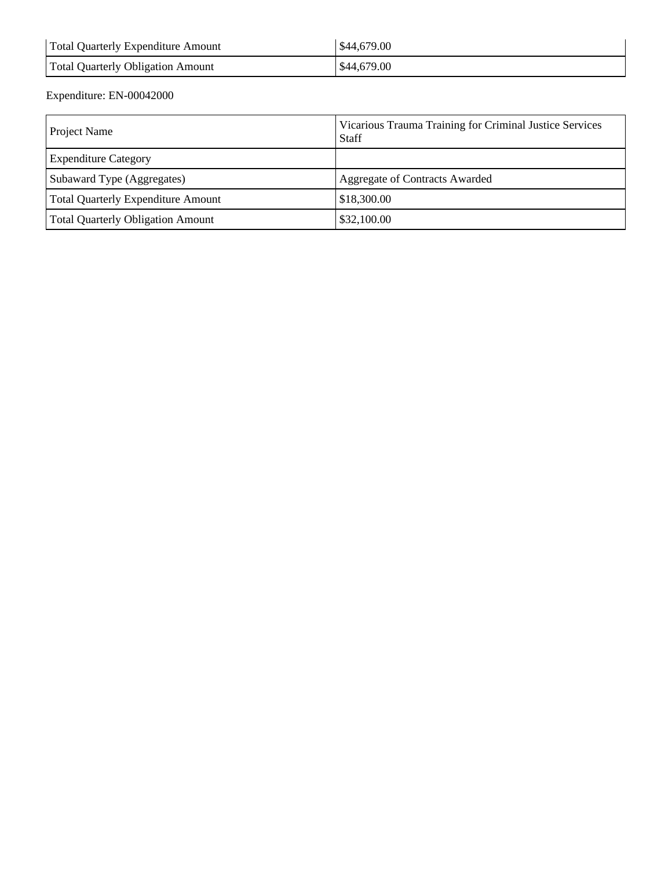| Total Quarterly Expenditure Amount | \$44,679.00 |
|------------------------------------|-------------|
| Total Quarterly Obligation Amount  | \$44,679.00 |

| Project Name                              | Vicarious Trauma Training for Criminal Justice Services<br><b>Staff</b> |
|-------------------------------------------|-------------------------------------------------------------------------|
| <b>Expenditure Category</b>               |                                                                         |
| Subaward Type (Aggregates)                | Aggregate of Contracts Awarded                                          |
| <b>Total Quarterly Expenditure Amount</b> | \$18,300.00                                                             |
| <b>Total Quarterly Obligation Amount</b>  | \$32,100.00                                                             |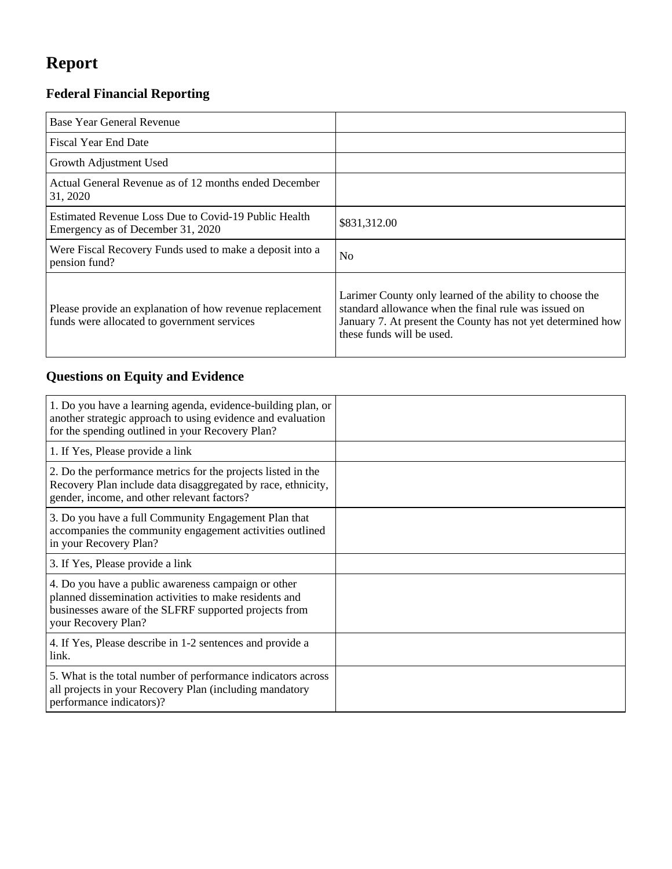# **Report**

# **Federal Financial Reporting**

| Base Year General Revenue                                                                               |                                                                                                                                                                                                              |
|---------------------------------------------------------------------------------------------------------|--------------------------------------------------------------------------------------------------------------------------------------------------------------------------------------------------------------|
| <b>Fiscal Year End Date</b>                                                                             |                                                                                                                                                                                                              |
| Growth Adjustment Used                                                                                  |                                                                                                                                                                                                              |
| Actual General Revenue as of 12 months ended December<br>31, 2020                                       |                                                                                                                                                                                                              |
| Estimated Revenue Loss Due to Covid-19 Public Health<br>Emergency as of December 31, 2020               | \$831,312.00                                                                                                                                                                                                 |
| Were Fiscal Recovery Funds used to make a deposit into a<br>pension fund?                               | N <sub>0</sub>                                                                                                                                                                                               |
| Please provide an explanation of how revenue replacement<br>funds were allocated to government services | Larimer County only learned of the ability to choose the<br>standard allowance when the final rule was issued on<br>January 7. At present the County has not yet determined how<br>these funds will be used. |

# **Questions on Equity and Evidence**

| 1. Do you have a learning agenda, evidence-building plan, or<br>another strategic approach to using evidence and evaluation<br>for the spending outlined in your Recovery Plan?               |  |
|-----------------------------------------------------------------------------------------------------------------------------------------------------------------------------------------------|--|
| 1. If Yes, Please provide a link                                                                                                                                                              |  |
| 2. Do the performance metrics for the projects listed in the<br>Recovery Plan include data disaggregated by race, ethnicity,<br>gender, income, and other relevant factors?                   |  |
| 3. Do you have a full Community Engagement Plan that<br>accompanies the community engagement activities outlined<br>in your Recovery Plan?                                                    |  |
| 3. If Yes, Please provide a link                                                                                                                                                              |  |
| 4. Do you have a public awareness campaign or other<br>planned dissemination activities to make residents and<br>businesses aware of the SLFRF supported projects from<br>your Recovery Plan? |  |
| 4. If Yes, Please describe in 1-2 sentences and provide a<br>link.                                                                                                                            |  |
| 5. What is the total number of performance indicators across<br>all projects in your Recovery Plan (including mandatory<br>performance indicators)?                                           |  |